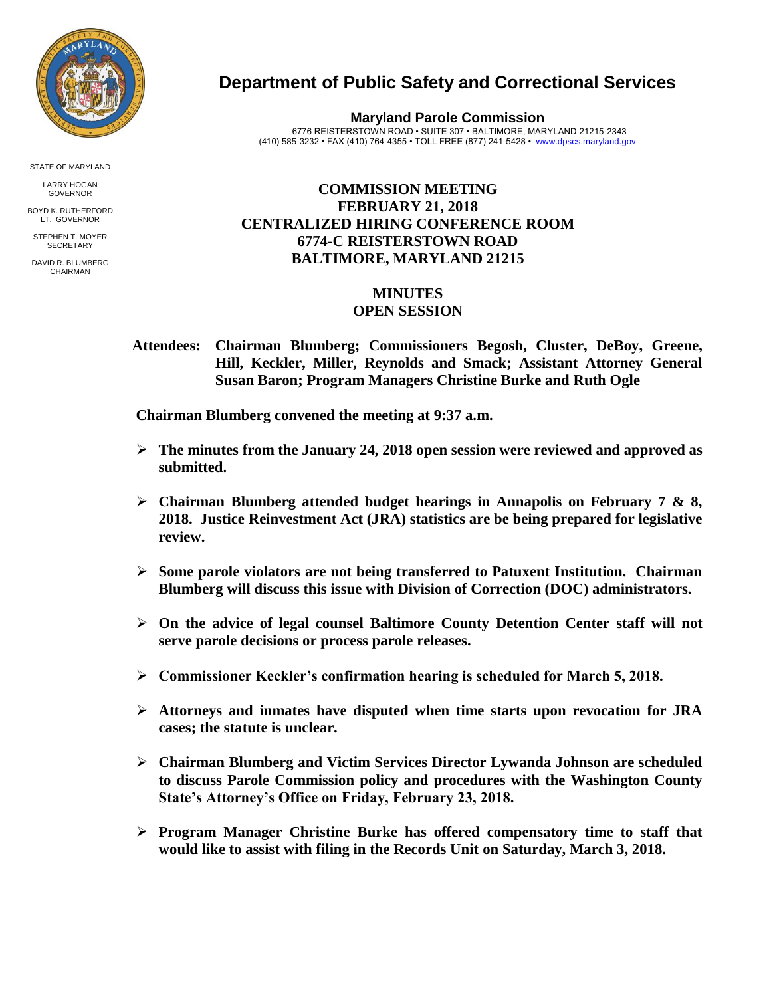

**Department of Public Safety and Correctional Services**

**Maryland Parole Commission** 6776 REISTERSTOWN ROAD • SUITE 307 • BALTIMORE, MARYLAND 21215-2343 (410) 585-3232 • FAX (410) 764-4355 • TOLL FREE (877) 241-5428 • [www.dpscs.maryland.gov](http://www.dpscs.maryland.gov/) 

## **COMMISSION MEETING FEBRUARY 21, 2018 CENTRALIZED HIRING CONFERENCE ROOM 6774-C REISTERSTOWN ROAD BALTIMORE, MARYLAND 21215**

## **MINUTES OPEN SESSION**

 **Attendees: Chairman Blumberg; Commissioners Begosh, Cluster, DeBoy, Greene, Hill, Keckler, Miller, Reynolds and Smack; Assistant Attorney General Susan Baron; Program Managers Christine Burke and Ruth Ogle**

 **Chairman Blumberg convened the meeting at 9:37 a.m.**

- **The minutes from the January 24, 2018 open session were reviewed and approved as submitted.**
- **Chairman Blumberg attended budget hearings in Annapolis on February 7 & 8, 2018. Justice Reinvestment Act (JRA) statistics are be being prepared for legislative review.**
- **Some parole violators are not being transferred to Patuxent Institution. Chairman Blumberg will discuss this issue with Division of Correction (DOC) administrators.**
- **On the advice of legal counsel Baltimore County Detention Center staff will not serve parole decisions or process parole releases.**
- **Commissioner Keckler's confirmation hearing is scheduled for March 5, 2018.**
- **Attorneys and inmates have disputed when time starts upon revocation for JRA cases; the statute is unclear.**
- **Chairman Blumberg and Victim Services Director Lywanda Johnson are scheduled to discuss Parole Commission policy and procedures with the Washington County State's Attorney's Office on Friday, February 23, 2018.**
- **Program Manager Christine Burke has offered compensatory time to staff that would like to assist with filing in the Records Unit on Saturday, March 3, 2018.**

STATE OF MARYLAND

LARRY HOGAN GOVERNOR BOYD K. RUTHERFORD

LT. GOVERNOR STEPHEN T. MOYER **SECRETARY** 

DAVID R. BLUMBERG CHAIRMAN